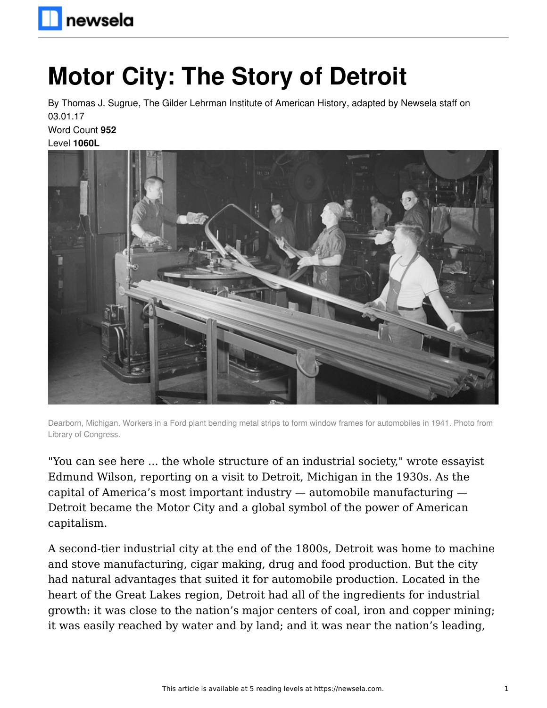# **Motor City: The Story of Detroit**

By Thomas J. Sugrue, The Gilder Lehrman Institute of American History, adapted by Newsela staff on 03.01.17 Word Count **952**

Level **1060L**



Dearborn, Michigan. Workers in a Ford plant bending metal strips to form window frames for automobiles in 1941. Photo from Library of Congress.

"You can see here ... the whole structure of an industrial society," wrote essayist Edmund Wilson, reporting on a visit to Detroit, Michigan in the 1930s. As the capital of America's most important industry — automobile manufacturing — Detroit became the Motor City and a global symbol of the power of American capitalism.

A second-tier industrial city at the end of the 1800s, Detroit was home to machine and stove manufacturing, cigar making, drug and food production. But the city had natural advantages that suited it for automobile production. Located in the heart of the Great Lakes region, Detroit had all of the ingredients for industrial growth: it was close to the nation's major centers of coal, iron and copper mining; it was easily reached by water and by land; and it was near the nation's leading,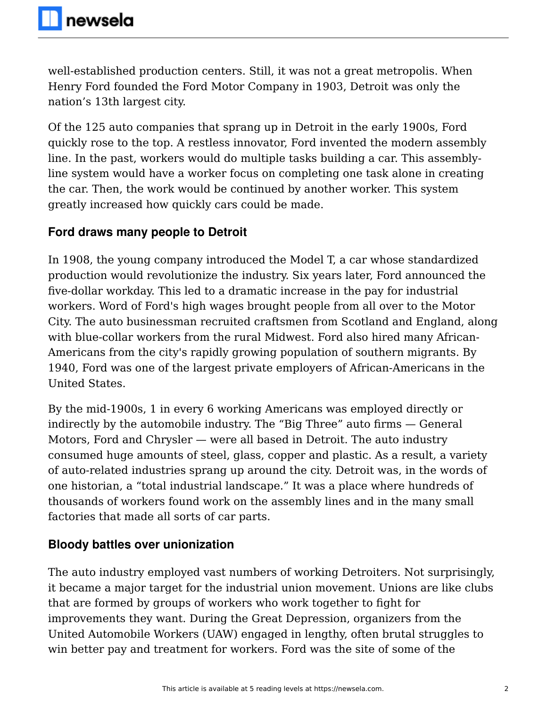well-established production centers. Still, it was not a great metropolis. When Henry Ford founded the Ford Motor Company in 1903, Detroit was only the nation's 13th largest city.

Of the 125 auto companies that sprang up in Detroit in the early 1900s, Ford quickly rose to the top. A restless innovator, Ford invented the modern assembly line. In the past, workers would do multiple tasks building a car. This assemblyline system would have a worker focus on completing one task alone in creating the car. Then, the work would be continued by another worker. This system greatly increased how quickly cars could be made.

### **Ford draws many people to Detroit**

In 1908, the young company introduced the Model T, a car whose standardized production would revolutionize the industry. Six years later, Ford announced the five-dollar workday. This led to a dramatic increase in the pay for industrial workers. Word of Ford's high wages brought people from all over to the Motor City. The auto businessman recruited craftsmen from Scotland and England, along with blue-collar workers from the rural Midwest. Ford also hired many African-Americans from the city's rapidly growing population of southern migrants. By 1940, Ford was one of the largest private employers of African-Americans in the United States.

By the mid-1900s, 1 in every 6 working Americans was employed directly or indirectly by the automobile industry. The "Big Three" auto firms — General Motors, Ford and Chrysler — were all based in Detroit. The auto industry consumed huge amounts of steel, glass, copper and plastic. As a result, a variety of auto-related industries sprang up around the city. Detroit was, in the words of one historian, a "total industrial landscape." It was a place where hundreds of thousands of workers found work on the assembly lines and in the many small factories that made all sorts of car parts.

## **Bloody battles over unionization**

The auto industry employed vast numbers of working Detroiters. Not surprisingly, it became a major target for the industrial union movement. Unions are like clubs that are formed by groups of workers who work together to fight for improvements they want. During the Great Depression, organizers from the United Automobile Workers (UAW) engaged in lengthy, often brutal struggles to win better pay and treatment for workers. Ford was the site of some of the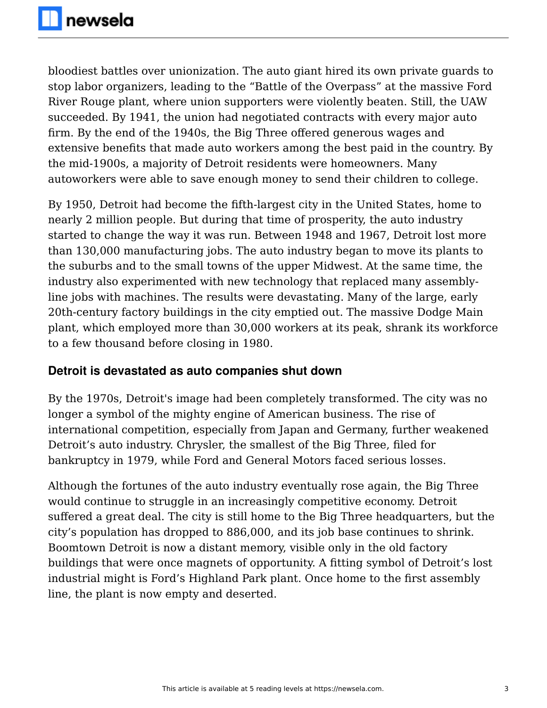bloodiest battles over unionization. The auto giant hired its own private guards to stop labor organizers, leading to the "Battle of the Overpass" at the massive Ford River Rouge plant, where union supporters were violently beaten. Still, the UAW succeeded. By 1941, the union had negotiated contracts with every major auto firm. By the end of the 1940s, the Big Three offered generous wages and extensive benefits that made auto workers among the best paid in the country. By the mid-1900s, a majority of Detroit residents were homeowners. Many autoworkers were able to save enough money to send their children to college.

By 1950, Detroit had become the fifth-largest city in the United States, home to nearly 2 million people. But during that time of prosperity, the auto industry started to change the way it was run. Between 1948 and 1967, Detroit lost more than 130,000 manufacturing jobs. The auto industry began to move its plants to the suburbs and to the small towns of the upper Midwest. At the same time, the industry also experimented with new technology that replaced many assemblyline jobs with machines. The results were devastating. Many of the large, early 20th-century factory buildings in the city emptied out. The massive Dodge Main plant, which employed more than 30,000 workers at its peak, shrank its workforce to a few thousand before closing in 1980.

#### **Detroit is devastated as auto companies shut down**

By the 1970s, Detroit's image had been completely transformed. The city was no longer a symbol of the mighty engine of American business. The rise of international competition, especially from Japan and Germany, further weakened Detroit's auto industry. Chrysler, the smallest of the Big Three, filed for bankruptcy in 1979, while Ford and General Motors faced serious losses.

Although the fortunes of the auto industry eventually rose again, the Big Three would continue to struggle in an increasingly competitive economy. Detroit suffered a great deal. The city is still home to the Big Three headquarters, but the city's population has dropped to 886,000, and its job base continues to shrink. Boomtown Detroit is now a distant memory, visible only in the old factory buildings that were once magnets of opportunity. A fitting symbol of Detroit's lost industrial might is Ford's Highland Park plant. Once home to the first assembly line, the plant is now empty and deserted.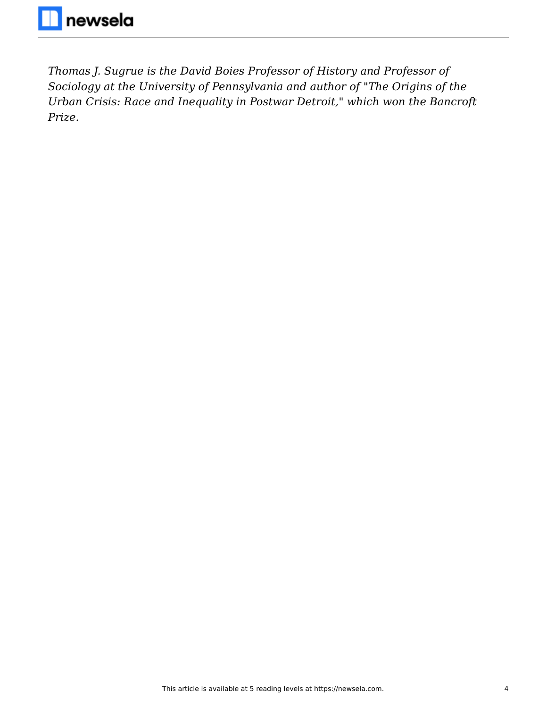*Thomas J. Sugrue is the David Boies Professor of History and Professor of Sociology at the University of Pennsylvania and author of "The Origins of the Urban Crisis: Race and Inequality in Postwar Detroit," which won the Bancroft Prize.*